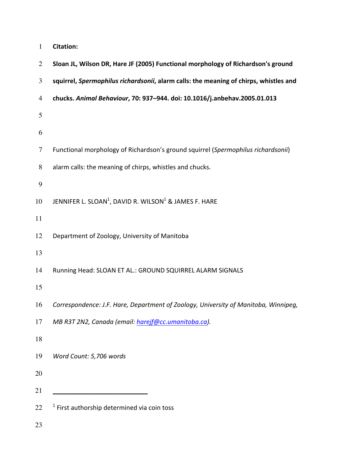| $\mathbf{1}$   | <b>Citation:</b>                                                                      |
|----------------|---------------------------------------------------------------------------------------|
| $\overline{2}$ | Sloan JL, Wilson DR, Hare JF (2005) Functional morphology of Richardson's ground      |
| 3              | squirrel, Spermophilus richardsonii, alarm calls: the meaning of chirps, whistles and |
| 4              | chucks. Animal Behaviour, 70: 937-944. doi: 10.1016/j.anbehav.2005.01.013             |
| 5              |                                                                                       |
| 6              |                                                                                       |
| $\tau$         | Functional morphology of Richardson's ground squirrel (Spermophilus richardsonii)     |
| $8\,$          | alarm calls: the meaning of chirps, whistles and chucks.                              |
| 9              |                                                                                       |
| 10             | JENNIFER L. SLOAN <sup>1</sup> , DAVID R. WILSON <sup>1</sup> & JAMES F. HARE         |
| 11             |                                                                                       |
| 12             | Department of Zoology, University of Manitoba                                         |
| 13             |                                                                                       |
| 14             | Running Head: SLOAN ET AL.: GROUND SQUIRREL ALARM SIGNALS                             |
| 15             |                                                                                       |
| 16             | Correspondence: J.F. Hare, Department of Zoology, University of Manitoba, Winnipeg,   |
| 17             | MB R3T 2N2, Canada (email: harejf@cc.umanitoba.ca).                                   |
| 18             |                                                                                       |
| 19             | Word Count: 5,706 words                                                               |
| 20             |                                                                                       |
| 21             |                                                                                       |
| 22             | $1$ First authorship determined via coin toss                                         |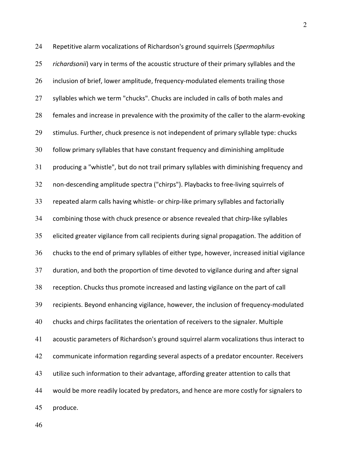24 Repetitive alarm vocalizations of Richardson's ground squirrels (Spermophilus 25 *richardsonii*) vary in terms of the acoustic structure of their primary syllables and the  $26$  inclusion of brief, lower amplitude, frequency-modulated elements trailing those 27 syllables which we term "chucks". Chucks are included in calls of both males and 28 females and increase in prevalence with the proximity of the caller to the alarm-evoking 29 stimulus. Further, chuck presence is not independent of primary syllable type: chucks 30 follow primary syllables that have constant frequency and diminishing amplitude 31 producing a "whistle", but do not trail primary syllables with diminishing frequency and 32 non-descending amplitude spectra ("chirps"). Playbacks to free-living squirrels of 33 repeated alarm calls having whistle- or chirp-like primary syllables and factorially 34 combining those with chuck presence or absence revealed that chirp-like syllables  $35$  elicited greater vigilance from call recipients during signal propagation. The addition of 36 chucks to the end of primary syllables of either type, however, increased initial vigilance 37 duration, and both the proportion of time devoted to vigilance during and after signal 38 reception. Chucks thus promote increased and lasting vigilance on the part of call 39 recipients. Beyond enhancing vigilance, however, the inclusion of frequency-modulated 40 chucks and chirps facilitates the orientation of receivers to the signaler. Multiple 41 acoustic parameters of Richardson's ground squirrel alarm vocalizations thus interact to 42 communicate information regarding several aspects of a predator encounter. Receivers 43 utilize such information to their advantage, affording greater attention to calls that 44 would be more readily located by predators, and hence are more costly for signalers to 45 produce.

2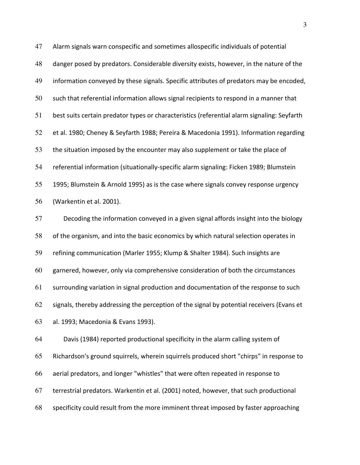47 Alarm signals warn conspecific and sometimes allospecific individuals of potential 48 danger posed by predators. Considerable diversity exists, however, in the nature of the 49 information conveyed by these signals. Specific attributes of predators may be encoded,  $50$  such that referential information allows signal recipients to respond in a manner that 51 best suits certain predator types or characteristics (referential alarm signaling: Seyfarth 52 et al. 1980; Cheney & Seyfarth 1988; Pereira & Macedonia 1991). Information regarding 53 the situation imposed by the encounter may also supplement or take the place of 54 referential information (situationally-specific alarm signaling: Ficken 1989; Blumstein 55 1995; Blumstein & Arnold 1995) as is the case where signals convey response urgency 56 (Warkentin et al. 2001).

57 Decoding the information conveyed in a given signal affords insight into the biology 58 of the organism, and into the basic economics by which natural selection operates in 59 refining communication (Marler 1955; Klump & Shalter 1984). Such insights are 60 garnered, however, only via comprehensive consideration of both the circumstances 61 surrounding variation in signal production and documentation of the response to such 62 signals, thereby addressing the perception of the signal by potential receivers (Evans et 63 al. 1993; Macedonia & Evans 1993).

64 Davis (1984) reported productional specificity in the alarm calling system of 65 Richardson's ground squirrels, wherein squirrels produced short "chirps" in response to 66 aerial predators, and longer "whistles" that were often repeated in response to 67 terrestrial predators. Warkentin et al. (2001) noted, however, that such productional 68 specificity could result from the more imminent threat imposed by faster approaching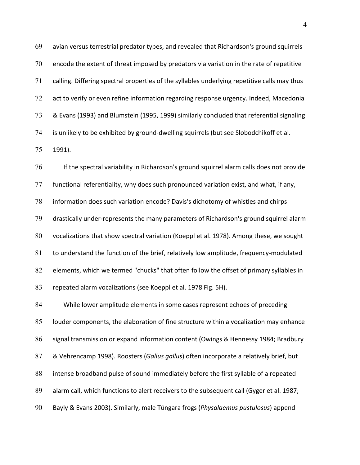$69$  avian versus terrestrial predator types, and revealed that Richardson's ground squirrels  $70$  encode the extent of threat imposed by predators via variation in the rate of repetitive 71 calling. Differing spectral properties of the syllables underlying repetitive calls may thus  $72$  act to verify or even refine information regarding response urgency. Indeed, Macedonia 73 & Evans (1993) and Blumstein (1995, 1999) similarly concluded that referential signaling 74 is unlikely to be exhibited by ground-dwelling squirrels (but see Slobodchikoff et al. 75 1991).

76 If the spectral variability in Richardson's ground squirrel alarm calls does not provide  $77$  functional referentiality, why does such pronounced variation exist, and what, if any, 78 information does such variation encode? Davis's dichotomy of whistles and chirps  $79$  drastically under-represents the many parameters of Richardson's ground squirrel alarm 80 vocalizations that show spectral variation (Koeppl et al. 1978). Among these, we sought 81 to understand the function of the brief, relatively low amplitude, frequency-modulated 82 elements, which we termed "chucks" that often follow the offset of primary syllables in 83 repeated alarm vocalizations (see Koeppl et al. 1978 Fig. 5H).

84 While lower amplitude elements in some cases represent echoes of preceding 85 louder components, the elaboration of fine structure within a vocalization may enhance 86 signal transmission or expand information content (Owings & Hennessy 1984; Bradbury 87 & Vehrencamp 1998). Roosters (*Gallus gallus*) often incorporate a relatively brief, but 88 intense broadband pulse of sound immediately before the first syllable of a repeated 89 alarm call, which functions to alert receivers to the subsequent call (Gyger et al. 1987; 90 Bayly & Evans 2003). Similarly, male Túngara frogs (*Physalaemus pustulosus*) append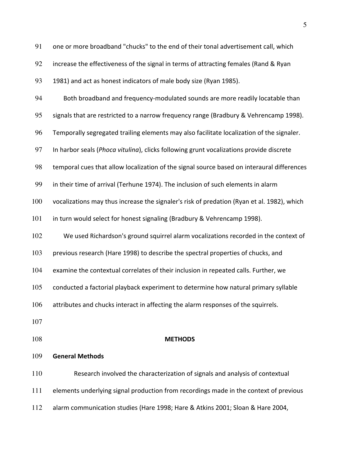91 one or more broadband "chucks" to the end of their tonal advertisement call, which 92 increase the effectiveness of the signal in terms of attracting females (Rand & Ryan 93 1981) and act as honest indicators of male body size (Ryan 1985). 94 Both broadband and frequency-modulated sounds are more readily locatable than 95 signals that are restricted to a narrow frequency range (Bradbury & Vehrencamp 1998). 96 Temporally segregated trailing elements may also facilitate localization of the signaler. 97 In harbor seals (*Phoca vitulina*), clicks following grunt vocalizations provide discrete 98 temporal cues that allow localization of the signal source based on interaural differences 99 in their time of arrival (Terhune 1974). The inclusion of such elements in alarm 100 vocalizations may thus increase the signaler's risk of predation (Ryan et al. 1982), which 101 in turn would select for honest signaling (Bradbury & Vehrencamp 1998). 102 We used Richardson's ground squirrel alarm vocalizations recorded in the context of 103 previous research (Hare 1998) to describe the spectral properties of chucks, and 104 examine the contextual correlates of their inclusion in repeated calls. Further, we 105 conducted a factorial playback experiment to determine how natural primary syllable 106 attributes and chucks interact in affecting the alarm responses of the squirrels. 107 108 **METHODS** 109 **General Methods** 

110 Research involved the characterization of signals and analysis of contextual 111 elements underlying signal production from recordings made in the context of previous 112 alarm communication studies (Hare 1998; Hare & Atkins 2001; Sloan & Hare 2004,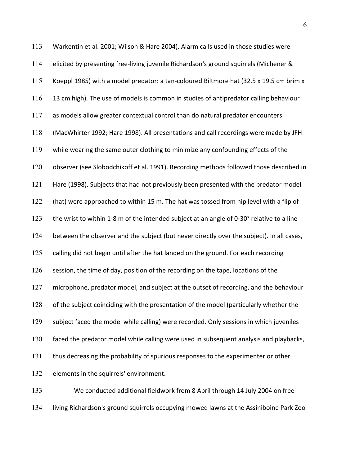113 Warkentin et al. 2001; Wilson & Hare 2004). Alarm calls used in those studies were 114 elicited by presenting free-living juvenile Richardson's ground squirrels (Michener & 115 Koeppl 1985) with a model predator: a tan-coloured Biltmore hat (32.5 x 19.5 cm brim x 116 13 cm high). The use of models is common in studies of antipredator calling behaviour  $117$  as models allow greater contextual control than do natural predator encounters 118 (MacWhirter 1992; Hare 1998). All presentations and call recordings were made by JFH 119 while wearing the same outer clothing to minimize any confounding effects of the 120 observer (see Slobodchikoff et al. 1991). Recording methods followed those described in 121 Hare (1998). Subjects that had not previously been presented with the predator model 122 (hat) were approached to within 15 m. The hat was tossed from hip level with a flip of 123 the wrist to within 1-8 m of the intended subject at an angle of 0-30° relative to a line 124 between the observer and the subject (but never directly over the subject). In all cases, 125 calling did not begin until after the hat landed on the ground. For each recording 126 session, the time of day, position of the recording on the tape, locations of the 127 microphone, predator model, and subject at the outset of recording, and the behaviour 128 of the subject coinciding with the presentation of the model (particularly whether the 129 subject faced the model while calling) were recorded. Only sessions in which juveniles 130 faced the predator model while calling were used in subsequent analysis and playbacks, 131 thus decreasing the probability of spurious responses to the experimenter or other 132 elements in the squirrels' environment.

133 We conducted additional fieldwork from 8 April through 14 July 2004 on free-134 living Richardson's ground squirrels occupying mowed lawns at the Assiniboine Park Zoo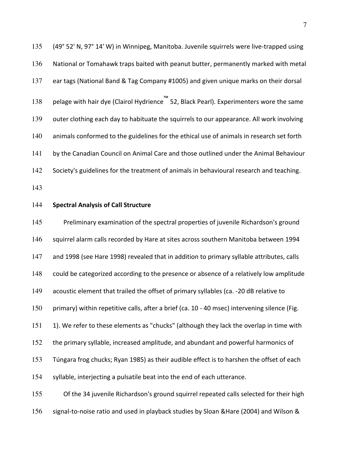135 (49° 52' N, 97° 14' W) in Winnipeg, Manitoba. Juvenile squirrels were live-trapped using 136 National or Tomahawk traps baited with peanut butter, permanently marked with metal 137 ear tags (National Band & Tag Company #1005) and given unique marks on their dorsal 138 pelage with hair dye (Clairol Hydrience™ 52, Black Pearl). Experimenters wore the same 139 outer clothing each day to habituate the squirrels to our appearance. All work involving 140 animals conformed to the guidelines for the ethical use of animals in research set forth 141 by the Canadian Council on Animal Care and those outlined under the Animal Behaviour 142 Society's guidelines for the treatment of animals in behavioural research and teaching.

143

#### 144 **Spectral Analysis of Call Structure**

145 Preliminary examination of the spectral properties of juvenile Richardson's ground 146 squirrel alarm calls recorded by Hare at sites across southern Manitoba between 1994 147 and 1998 (see Hare 1998) revealed that in addition to primary syllable attributes, calls 148 could be categorized according to the presence or absence of a relatively low amplitude 149 acoustic element that trailed the offset of primary syllables (ca. -20 dB relative to 150 primary) within repetitive calls, after a brief (ca. 10 - 40 msec) intervening silence (Fig. 151 1). We refer to these elements as "chucks" (although they lack the overlap in time with 152 the primary syllable, increased amplitude, and abundant and powerful harmonics of 153 Túngara frog chucks; Ryan 1985) as their audible effect is to harshen the offset of each 154 syllable, interjecting a pulsatile beat into the end of each utterance. 155 Of the 34 juvenile Richardson's ground squirrel repeated calls selected for their high

156 signal-to-noise ratio and used in playback studies by Sloan & Hare (2004) and Wilson &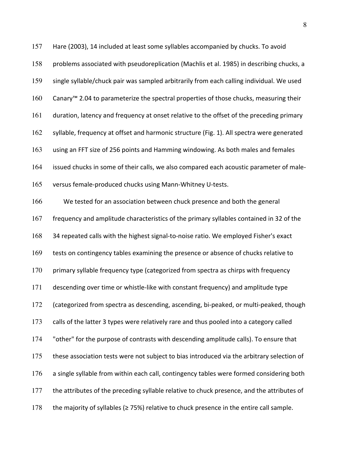157 Hare (2003), 14 included at least some syllables accompanied by chucks. To avoid 158 problems associated with pseudoreplication (Machlis et al. 1985) in describing chucks, a 159 single syllable/chuck pair was sampled arbitrarily from each calling individual. We used 160 Canary™ 2.04 to parameterize the spectral properties of those chucks, measuring their 161 duration, latency and frequency at onset relative to the offset of the preceding primary 162 syllable, frequency at offset and harmonic structure (Fig. 1). All spectra were generated 163 using an FFT size of 256 points and Hamming windowing. As both males and females 164 issued chucks in some of their calls, we also compared each acoustic parameter of male-165 versus female-produced chucks using Mann-Whitney U-tests. 166 We tested for an association between chuck presence and both the general 167 frequency and amplitude characteristics of the primary syllables contained in 32 of the 168 34 repeated calls with the highest signal-to-noise ratio. We employed Fisher's exact 169 tests on contingency tables examining the presence or absence of chucks relative to 170 primary syllable frequency type (categorized from spectra as chirps with frequency 171 descending over time or whistle-like with constant frequency) and amplitude type 172 (categorized from spectra as descending, ascending, bi-peaked, or multi-peaked, though 173 calls of the latter 3 types were relatively rare and thus pooled into a category called 174 "other" for the purpose of contrasts with descending amplitude calls). To ensure that 175 these association tests were not subject to bias introduced via the arbitrary selection of 176 a single syllable from within each call, contingency tables were formed considering both 177 the attributes of the preceding syllable relative to chuck presence, and the attributes of 178 the majority of syllables ( $\geq$  75%) relative to chuck presence in the entire call sample.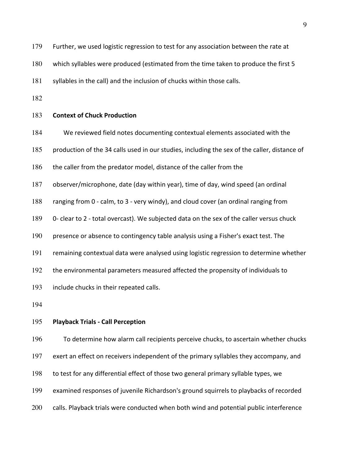180 which syllables were produced (estimated from the time taken to produce the first 5

181 syllables in the call) and the inclusion of chucks within those calls.

182

#### 183 **Context of Chuck Production**

- 184 We reviewed field notes documenting contextual elements associated with the
- 185 production of the 34 calls used in our studies, including the sex of the caller, distance of
- 186 the caller from the predator model, distance of the caller from the
- 187 observer/microphone, date (day within year), time of day, wind speed (an ordinal
- 188 ranging from 0 calm, to 3 very windy), and cloud cover (an ordinal ranging from
- 189 0- clear to 2 total overcast). We subjected data on the sex of the caller versus chuck
- 190 presence or absence to contingency table analysis using a Fisher's exact test. The
- 191 remaining contextual data were analysed using logistic regression to determine whether
- 192 the environmental parameters measured affected the propensity of individuals to
- 193 include chucks in their repeated calls.
- 194

#### 195 **Playback Trials - Call Perception**

196 To\*determine how alarm call recipients perceive chucks, to ascertain whether chucks 197 exert an effect on receivers independent of the primary syllables they accompany, and 198 to test for any differential effect of those two general primary syllable types, we 199 examined responses of juvenile Richardson's ground squirrels to playbacks of recorded

200 calls. Playback trials were conducted when both wind and potential public interference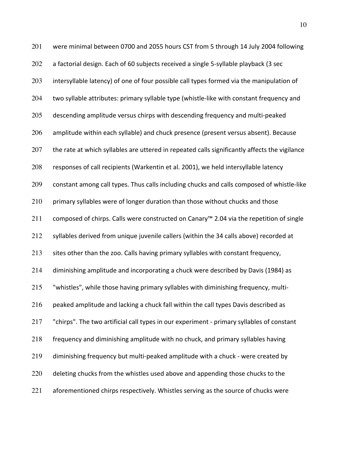201 were minimal between 0700 and 2055 hours CST from 5 through 14 July 2004 following 202 a factorial design. Each of 60 subjects received a single 5-syllable playback (3 sec 203 intersyllable latency) of one of four possible call types formed via the manipulation of 204 two syllable attributes: primary syllable type (whistle-like with constant frequency and  $205$  descending amplitude versus chirps with descending frequency and multi-peaked 206 amplitude within each syllable) and chuck presence (present versus absent). Because  $207$  the rate at which syllables are uttered in repeated calls significantly affects the vigilance 208 responses of call recipients (Warkentin et al. 2001), we held intersyllable latency 209 constant among call types. Thus calls including chucks and calls composed of whistle-like  $210$  primary syllables were of longer duration than those without chucks and those 211 composed of chirps. Calls were constructed on Canary™ 2.04 via the repetition of single 212 syllables derived from unique juvenile callers (within the 34 calls above) recorded at 213 sites other than the zoo. Calls having primary syllables with constant frequency, 214 diminishing amplitude and incorporating a chuck were described by Davis (1984) as 215 "whistles", while those having primary syllables with diminishing frequency, multi-216 peaked amplitude and lacking a chuck fall within the call types Davis described as 217 "chirps". The two artificial call types in our experiment - primary syllables of constant 218 frequency and diminishing amplitude with no chuck, and primary syllables having  $219$  diminishing frequency but multi-peaked amplitude with a chuck - were created by  $220$  deleting chucks from the whistles used above and appending those chucks to the  $221$  aforementioned chirps respectively. Whistles serving as the source of chucks were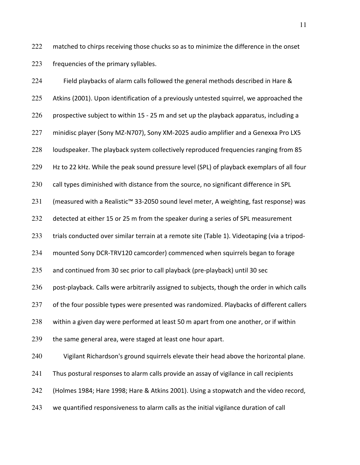222 matched to chirps receiving those chucks so as to minimize the difference in the onset 223 frequencies of the primary syllables.

| 224 | Field playbacks of alarm calls followed the general methods described in Hare &              |
|-----|----------------------------------------------------------------------------------------------|
| 225 | Atkins (2001). Upon identification of a previously untested squirrel, we approached the      |
| 226 | prospective subject to within 15 - 25 m and set up the playback apparatus, including a       |
| 227 | minidisc player (Sony MZ-N707), Sony XM-2025 audio amplifier and a Genexxa Pro LX5           |
| 228 | loudspeaker. The playback system collectively reproduced frequencies ranging from 85         |
| 229 | Hz to 22 kHz. While the peak sound pressure level (SPL) of playback exemplars of all four    |
| 230 | call types diminished with distance from the source, no significant difference in SPL        |
| 231 | (measured with a Realistic™ 33-2050 sound level meter, A weighting, fast response) was       |
| 232 | detected at either 15 or 25 m from the speaker during a series of SPL measurement            |
| 233 | trials conducted over similar terrain at a remote site (Table 1). Videotaping (via a tripod- |
| 234 | mounted Sony DCR-TRV120 camcorder) commenced when squirrels began to forage                  |
| 235 | and continued from 30 sec prior to call playback (pre-playback) until 30 sec                 |
| 236 | post-playback. Calls were arbitrarily assigned to subjects, though the order in which calls  |
| 237 | of the four possible types were presented was randomized. Playbacks of different callers     |
| 238 | within a given day were performed at least 50 m apart from one another, or if within         |
| 239 | the same general area, were staged at least one hour apart.                                  |
| 240 | Vigilant Richardson's ground squirrels elevate their head above the horizontal plane.        |
| 241 | Thus postural responses to alarm calls provide an assay of vigilance in call recipients      |
| 242 | (Holmes 1984; Hare 1998; Hare & Atkins 2001). Using a stopwatch and the video record,        |
| 243 | we quantified responsiveness to alarm calls as the initial vigilance duration of call        |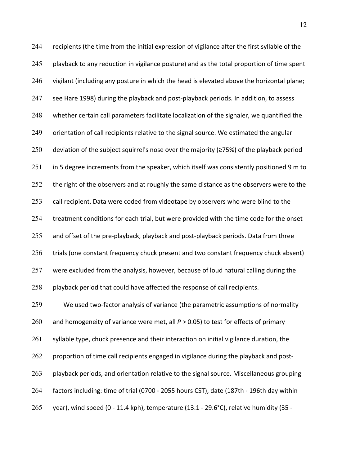$244$  recipients (the time from the initial expression of vigilance after the first syllable of the 245 playback to any reduction in vigilance posture) and as the total proportion of time spent 246 vigilant (including any posture in which the head is elevated above the horizontal plane; 247 see Hare 1998) during the playback and post-playback periods. In addition, to assess 248 whether certain call parameters facilitate localization of the signaler, we quantified the 249 orientation of call recipients relative to the signal source. We estimated the angular 250 deviation of the subject squirrel's nose over the majority ( $\geq$ 75%) of the playback period 251 in 5 degree increments from the speaker, which itself was consistently positioned 9 m to 252 the right of the observers and at roughly the same distance as the observers were to the  $253$  call recipient. Data were coded from videotape by observers who were blind to the  $254$  treatment conditions for each trial, but were provided with the time code for the onset  $255$  and offset of the pre-playback, playback and post-playback periods. Data from three 256 trials (one constant frequency chuck present and two constant frequency chuck absent) 257 were excluded from the analysis, however, because of loud natural calling during the 258 playback period that could have affected the response of call recipients. 259 We used two-factor analysis of variance (the parametric assumptions of normality 260 and homogeneity of variance were met, all  $P > 0.05$ ) to test for effects of primary  $261$  syllable type, chuck presence and their interaction on initial vigilance duration, the 262 proportion of time call recipients engaged in vigilance during the playback and post-263 playback periods, and orientation relative to the signal source. Miscellaneous grouping 264 factors including: time of trial (0700 - 2055 hours CST), date (187th - 196th day within 265 year), wind speed (0 - 11.4 kph), temperature (13.1 - 29.6°C), relative humidity (35 -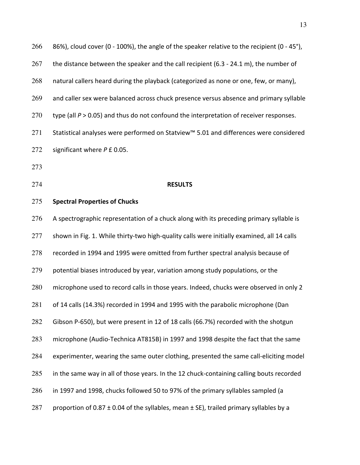266 86%), cloud cover (0 - 100%), the angle of the speaker relative to the recipient (0 - 45°), 267 the distance between the speaker and the call recipient (6.3 - 24.1 m), the number of 268 natural callers heard during the playback (categorized as none or one, few, or many), 269 and caller sex were balanced across chuck presence versus absence and primary syllable 270 type (all  *> 0.05) and thus do not confound the interpretation of receiver responses.* 271 Statistical analyses were performed on Statview™ 5.01 and differences were considered 272 significant where *P* £ 0.05. 273

## 274 **RESULTS**

#### 275 **Spectral Properties of Chucks**

276 A spectrographic representation of a chuck along with its preceding primary syllable is  $277$  shown in Fig. 1. While thirty-two high-quality calls were initially examined, all 14 calls  $278$  recorded in 1994 and 1995 were omitted from further spectral analysis because of  $279$  potential biases introduced by year, variation among study populations, or the 280 microphone used to record calls in those years. Indeed, chucks were observed in only 2 281 of 14 calls (14.3%) recorded in 1994 and 1995 with the parabolic microphone (Dan 282 Gibson P-650), but were present in 12 of 18 calls (66.7%) recorded with the shotgun 283 microphone (Audio-Technica AT815B) in 1997 and 1998 despite the fact that the same 284 experimenter, wearing the same outer clothing, presented the same call-eliciting model  $285$  in the same way in all of those years. In the 12 chuck-containing calling bouts recorded 286 in 1997 and 1998, chucks followed 50 to 97% of the primary syllables sampled (a 287 proportion of 0.87  $\pm$  0.04 of the syllables, mean  $\pm$  SE), trailed primary syllables by a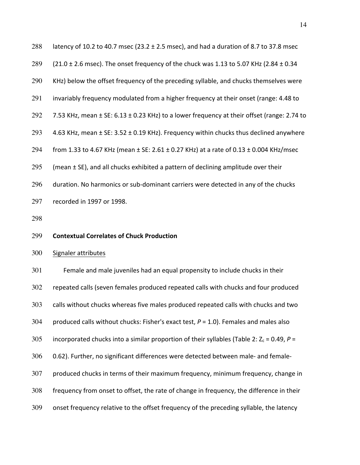| 288 | latency of 10.2 to 40.7 msec (23.2 $\pm$ 2.5 msec), and had a duration of 8.7 to 37.8 msec             |
|-----|--------------------------------------------------------------------------------------------------------|
| 289 | $(21.0 \pm 2.6 \text{ msec})$ . The onset frequency of the chuck was 1.13 to 5.07 KHz (2.84 $\pm$ 0.34 |
| 290 | KHz) below the offset frequency of the preceding syllable, and chucks themselves were                  |
| 291 | invariably frequency modulated from a higher frequency at their onset (range: 4.48 to                  |
| 292 | 7.53 KHz, mean ± SE: 6.13 ± 0.23 KHz) to a lower frequency at their offset (range: 2.74 to             |
| 293 | 4.63 KHz, mean ± SE: 3.52 ± 0.19 KHz). Frequency within chucks thus declined anywhere                  |
| 294 | from 1.33 to 4.67 KHz (mean $\pm$ SE: 2.61 $\pm$ 0.27 KHz) at a rate of 0.13 $\pm$ 0.004 KHz/msec      |
| 295 | (mean ± SE), and all chucks exhibited a pattern of declining amplitude over their                      |
| 296 | duration. No harmonics or sub-dominant carriers were detected in any of the chucks                     |
| 297 | recorded in 1997 or 1998.                                                                              |
| 298 |                                                                                                        |
|     |                                                                                                        |
| 299 | <b>Contextual Correlates of Chuck Production</b>                                                       |
| 300 | Signaler attributes                                                                                    |
| 301 | Female and male juveniles had an equal propensity to include chucks in their                           |
| 302 | repeated calls (seven females produced repeated calls with chucks and four produced                    |
| 303 | calls without chucks whereas five males produced repeated calls with chucks and two                    |
| 304 | produced calls without chucks: Fisher's exact test, $P = 1.0$ ). Females and males also                |
| 305 | incorporated chucks into a similar proportion of their syllables (Table 2: $Z_c$ = 0.49, P =           |
| 306 | 0.62). Further, no significant differences were detected between male- and female-                     |
| 307 | produced chucks in terms of their maximum frequency, minimum frequency, change in                      |
| 308 | frequency from onset to offset, the rate of change in frequency, the difference in their               |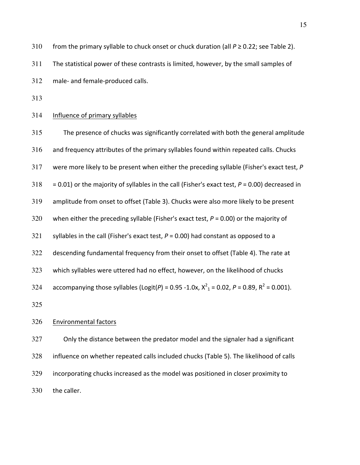310 from the primary syllable to chuck onset or chuck duration (all  $P \ge 0.22$ ; see Table 2).

311 The statistical power of these contrasts is limited, however, by the small samples of

 $312$  male- and female-produced calls.

313

## 314 Influence of primary syllables

315 The presence of chucks was significantly correlated with both the general amplitude  $316$  and frequency attributes of the primary syllables found within repeated calls. Chucks 317 were more likely to be present when either the preceding syllable (Fisher's exact test, P 318 = 0.01) or the majority of syllables in the call (Fisher's exact test,  $P = 0.00$ ) decreased in 319 amplitude from onset to offset (Table 3). Chucks were also more likely to be present 320 when either the preceding syllable (Fisher's exact test,  $P = 0.00$ ) or the majority of 321 syllables in the call (Fisher's exact test,  $P = 0.00$ ) had constant as opposed to a 322 descending fundamental frequency from their onset to offset (Table 4). The rate at 323 which syllables were uttered had no effect, however, on the likelihood of chucks 324 accompanying those syllables (Logit(*P*) = 0.95 -1.0x,  $X^2$ <sub>1</sub> = 0.02, *P* = 0.89, R<sup>2</sup> = 0.001). 325

# 326 Environmental factors

327 Only the distance between the predator model and the signaler had a significant 328 influence on whether repeated calls included chucks (Table 5). The likelihood of calls 329 incorporating chucks increased as the model was positioned in closer proximity to 330 the caller.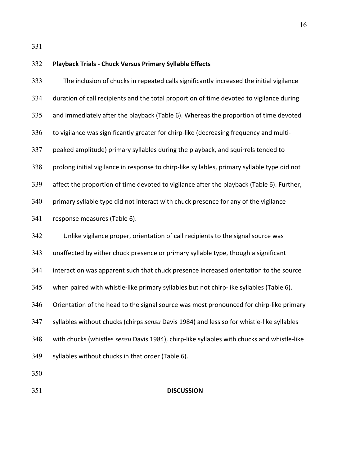331

# 332 **Playback(Trials(\ Chuck(Versus(Primary(Syllable(Effects** 333 The inclusion of chucks in repeated calls significantly increased the initial vigilance 334 duration of call recipients and the total proportion of time devoted to vigilance during 335 and immediately after the playback (Table 6). Whereas the proportion of time devoted 336 to vigilance was significantly greater for chirp-like (decreasing frequency and multi-337 peaked amplitude) primary syllables during the playback, and squirrels tended to 338 prolong initial vigilance in response to chirp-like syllables, primary syllable type did not 339 affect the proportion of time devoted to vigilance after the playback (Table 6). Further, 340 primary syllable type did not interact with chuck presence for any of the vigilance 341 response measures (Table 6). 342 Unlike vigilance proper, orientation of call recipients to the signal source was 343 unaffected by either chuck presence or primary syllable type, though a significant 344 interaction was apparent such that chuck presence increased orientation to the source 345 when paired with whistle-like primary syllables but not chirp-like syllables (Table 6). 346 Orientation of the head to the signal source was most pronounced for chirp-like primary 347 syllables without chucks (chirps *sensu* Davis 1984) and less so for whistle-like syllables 348 with chucks (whistles *sensu* Davis 1984), chirp-like syllables with chucks and whistle-like 349 syllables without chucks in that order (Table 6). 350

## 351 **DISCUSSION**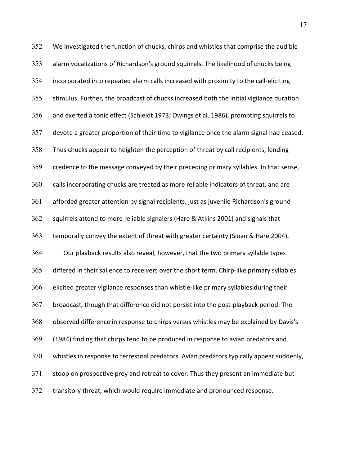352 We investigated the function of chucks, chirps and whistles that comprise the audible 353 alarm vocalizations of Richardson's ground squirrels. The likelihood of chucks being  $354$  incorporated into repeated alarm calls increased with proximity to the call-eliciting 355 stimulus. Further, the broadcast of chucks increased both the initial vigilance duration 356 and exerted a tonic effect (Schleidt 1973; Owings et al. 1986), prompting squirrels to  $357$  devote a greater proportion of their time to vigilance once the alarm signal had ceased. 358 Thus chucks appear to heighten the perception of threat by call recipients, lending 359 credence to the message conveyed by their preceding primary syllables. In that sense, 360 calls incorporating chucks are treated as more reliable indicators of threat, and are 361 afforded greater attention by signal recipients, just as juvenile Richardson's ground 362 squirrels attend to more reliable signalers (Hare  $&$  Atkins 2001) and signals that 363 temporally convey the extent of threat with greater certainty (Sloan & Hare 2004). 364 Our playback results also reveal, however, that the two primary syllable types 365 differed in their salience to receivers over the short term. Chirp-like primary syllables 366 elicited greater vigilance responses than whistle-like primary syllables during their 367 broadcast, though that difference did not persist into the post-playback period. The 368 observed difference in response to chirps versus whistles may be explained by Davis's 369 (1984) finding that chirps tend to be produced in response to avian predators and 370 whistles in response to terrestrial predators. Avian predators typically appear suddenly, 371 stoop on prospective prey and retreat to cover. Thus they present an immediate but 372 transitory threat, which would require immediate and pronounced response.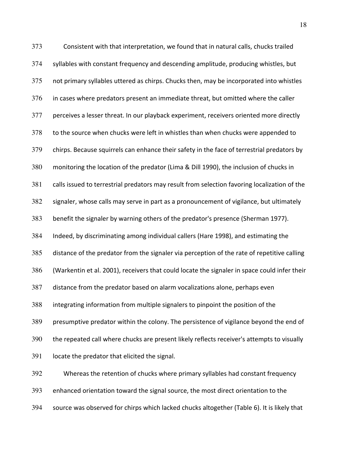373 Consistent with that interpretation, we found that in natural calls, chucks trailed 374 syllables with constant frequency and descending amplitude, producing whistles, but 375 not primary syllables uttered as chirps. Chucks then, may be incorporated into whistles  $376$  in cases where predators present an immediate threat, but omitted where the caller 377 perceives a lesser threat. In our playback experiment, receivers oriented more directly 378 to the source when chucks were left in whistles than when chucks were appended to 379 chirps. Because squirrels can enhance their safety in the face of terrestrial predators by 380 monitoring the location of the predator (Lima & Dill 1990), the inclusion of chucks in 381 calls issued to terrestrial predators may result from selection favoring localization of the 382 signaler, whose calls may serve in part as a pronouncement of vigilance, but ultimately 383 benefit the signaler by warning others of the predator's presence (Sherman 1977). 384 Indeed, by discriminating among individual callers (Hare 1998), and estimating the 385 distance of the predator from the signaler via perception of the rate of repetitive calling 386 (Warkentin et al. 2001), receivers that could locate the signaler in space could infer their 387 distance from the predator based on alarm vocalizations alone, perhaps even 388 integrating information from multiple signalers to pinpoint the position of the 389 presumptive predator within the colony. The persistence of vigilance beyond the end of 390 the repeated call where chucks are present likely reflects receiver's attempts to visually  $391$  locate the predator that elicited the signal. 392 Whereas the retention of chucks where primary syllables had constant frequency

393 enhanced orientation toward the signal source, the most direct orientation to the 394 source was observed for chirps which lacked chucks altogether (Table 6). It is likely that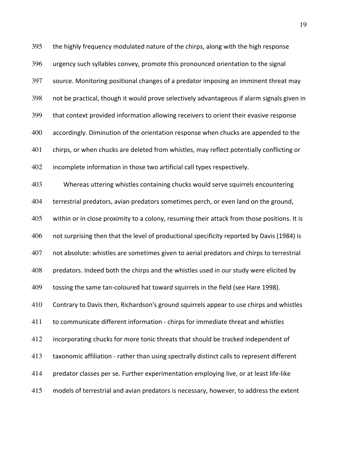$395$  the highly frequency modulated nature of the chirps, along with the high response 396 urgency such syllables convey, promote this pronounced orientation to the signal 397 source. Monitoring positional changes of a predator imposing an imminent threat may 398 not be practical, though it would prove selectively advantageous if alarm signals given in 399 that context provided information allowing receivers to orient their evasive response 400 accordingly. Diminution of the orientation response when chucks are appended to the 401 chirps, or when chucks are deleted from whistles, may reflect potentially conflicting or 402 incomplete information in those two artificial call types respectively. 403 Whereas uttering whistles containing chucks would serve squirrels encountering 404 terrestrial predators, avian predators sometimes perch, or even land on the ground, 405 within or in close proximity to a colony, resuming their attack from those positions. It is 406 not surprising then that the level of productional specificity reported by Davis (1984) is 407 not absolute: whistles are sometimes given to aerial predators and chirps to terrestrial 408 predators. Indeed both the chirps and the whistles used in our study were elicited by 409 tossing the same tan-coloured hat toward squirrels in the field (see Hare 1998). 410 Contrary to Davis then, Richardson's ground squirrels appear to use chirps and whistles  $411$  to communicate different information - chirps for immediate threat and whistles 412 incorporating chucks for more tonic threats that should be tracked independent of 413 taxonomic affiliation - rather than using spectrally distinct calls to represent different 414 predator classes per se. Further experimentation employing live, or at least life-like 415 models of terrestrial and avian predators is necessary, however, to address the extent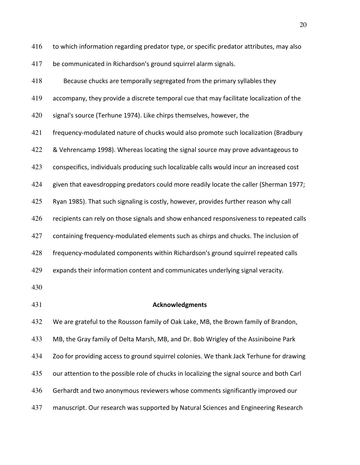416 to which information regarding predator type, or specific predator attributes, may also

417 be communicated in Richardson's ground squirrel alarm signals.

418 Because chucks are temporally segregated from the primary syllables they 419 accompany, they provide a discrete temporal cue that may facilitate localization of the 420 signal's source (Terhune 1974). Like chirps themselves, however, the 421 frequency-modulated nature of chucks would also promote such localization (Bradbury  $422$  & Vehrencamp 1998). Whereas locating the signal source may prove advantageous to 423 conspecifics, individuals producing such localizable calls would incur an increased cost  $424$  given that eavesdropping predators could more readily locate the caller (Sherman 1977; 425 Ryan 1985). That such signaling is costly, however, provides further reason why call 426 recipients can rely on those signals and show enhanced responsiveness to repeated calls 427 containing frequency-modulated elements such as chirps and chucks. The inclusion of 428 frequency-modulated components within Richardson's ground squirrel repeated calls 429 expands their information content and communicates underlying signal veracity. 430 431 **Acknowledgments** 432 We are grateful to the Rousson family of Oak Lake, MB, the Brown family of Brandon, 433 MB, the Gray family of Delta Marsh, MB, and Dr. Bob Wrigley of the Assiniboine Park 434 Zoo for providing access to ground squirrel colonies. We thank Jack Terhune for drawing 435 our attention to the possible role of chucks in localizing the signal source and both Carl 436 Gerhardt and two anonymous reviewers whose comments significantly improved our

437 manuscript. Our research was supported by Natural Sciences and Engineering Research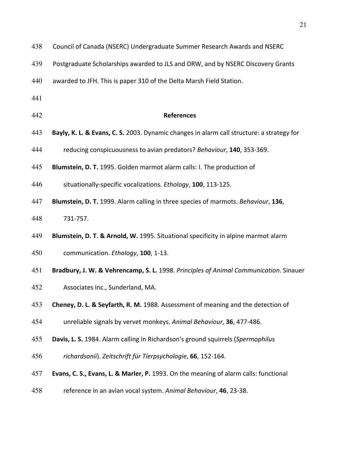- 438 Council of Canada (NSERC) Undergraduate Summer Research Awards and NSERC
- 439 Postgraduate Scholarships awarded to JLS and DRW, and by NSERC Discovery Grants
- 440 awarded to JFH. This is paper 310 of the Delta Marsh Field Station.
- 441
- 442 **References**
- 443 **Bayly, K. L. & Evans, C. S.** 2003. Dynamic changes in alarm call structure: a strategy for
- 444 reducing conspicuousness to avian predators? Behaviour, 140, 353-369.
- 445 **Blumstein, D. T.** 1995. Golden marmot alarm calls: I. The production of
- 446 situationally-specific vocalizations. *Ethology*, **100**, 113-125.
- **Blumstein, D. T.** 1999. Alarm calling in three species of marmots. *Behaviour*, 136,
- 448 731-757.
- 449 **Blumstein, D. T. & Arnold, W.** 1995. Situational specificity in alpine marmot alarm
- 450 communication. *Ethology*, **100**, 1-13.
- 451 **Bradbury, J. W. & Vehrencamp, S. L.** 1998. *Principles of Animal Communication*. Sinauer
- 452 Associates Inc., Sunderland, MA.
- 453 **Cheney, D. L. & Seyfarth, R. M.** 1988. Assessment of meaning and the detection of
- 454 unreliable signals by vervet monkeys. Animal Behaviour, 36, 477-486.
- 455 **Davis, L. S.** 1984. Alarm calling in Richardson's ground squirrels (Spermophilus
- 456 *richardsonii*). Zeitschrift für Tierpsychologie, 66, 152-164.
- 457 **Evans, C. S., Evans, L. & Marler, P.** 1993. On the meaning of alarm calls: functional
- 458 reference in an avian vocal system. Animal Behaviour, **46**, 23-38.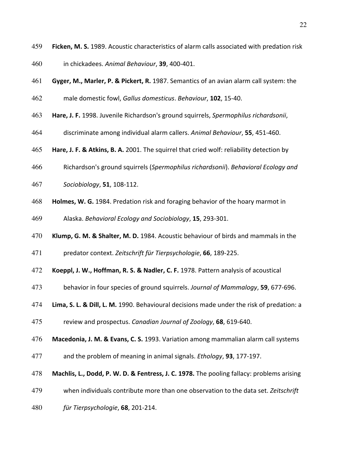- 459 **Ficken, M. S.** 1989. Acoustic characteristics of alarm calls associated with predation risk
- 460 in chickadees. Animal Behaviour, **39**, 400-401.
- 461 **Gyger, M., Marler, P. & Pickert, R.** 1987. Semantics of an avian alarm call system: the
- 462 male domestic fowl, *Gallus domesticus*. *Behaviour*, **102**, 15-40.
- 463 **Hare, J. F.** 1998. Juvenile Richardson's ground squirrels, Spermophilus richardsonii,
- 464 discriminate among individual alarm callers. Animal Behaviour, **55**, 451-460.
- **465 Hare, J. F. & Atkins, B. A.** 2001. The squirrel that cried wolf: reliability detection by
- 466 Richardson's\*ground\*squirrels\*(*Spermophilus,richardsonii*).\**Behavioral,Ecology,and,*
- 467 **Sociobiology**, **51**, 108-112.
- 468 **Holmes, W. G.** 1984. Predation risk and foraging behavior of the hoary marmot in
- 469 Alaska. *Behavioral Ecology and Sociobiology*, **15**, 293-301.
- 470 **Klump, G. M. & Shalter, M. D.** 1984. Acoustic behaviour of birds and mammals in the
- 471 predator context. Zeitschrift für Tierpsychologie, **66**, 189-225.
- 472 **Koeppl, J. W., Hoffman, R. S. & Nadler, C. F.** 1978. Pattern analysis of acoustical
- 473 behavior in four species of ground squirrels. *Journal of Mammalogy*, **59**, 677-696.
- 474 **Lima, S. L. & Dill, L. M.** 1990. Behavioural decisions made under the risk of predation: a
- 475 review and prospectus. *Canadian Journal of Zoology*, **68**, 619-640.
- 476 **Macedonia, J. M. & Evans, C. S.** 1993. Variation among mammalian alarm call systems
- 477 and the problem of meaning in animal signals. *Ethology*, **93**, 177-197.
- 478 **Machlis, L., Dodd, P. W. D. & Fentress, J. C. 1978.** The pooling fallacy: problems arising
- 479 when individuals contribute more than one observation to the data set. Zeitschrift
- 480 *für Tierpsychologie*, **68**, 201-214.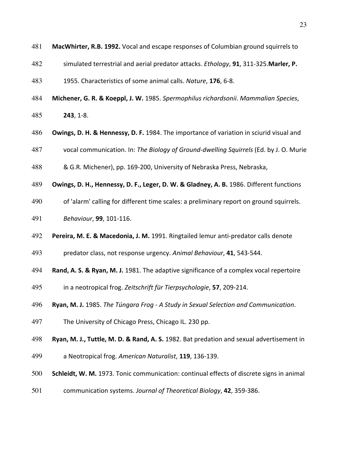| 481 |  |  | <b>MacWhirter, R.B. 1992.</b> Vocal and escape responses of Columbian ground squirrels to |
|-----|--|--|-------------------------------------------------------------------------------------------|
|-----|--|--|-------------------------------------------------------------------------------------------|

- 482 simulated terrestrial and aerial predator attacks. *Ethology*, **91**, 311-325. Marler, P.
- 483 1955. Characteristics of some animal calls. *Nature*, **176**, 6-8.
- 484 **Michener, G. R. & Koeppl, J. W.** 1985. Spermophilus richardsonii. Mammalian Species,
- 485 **243**, 1-8.
- 486 **Owings, D. H. & Hennessy, D. F.** 1984. The importance of variation in sciurid visual and
- 487 vocal communication. In: The Biology of Ground-dwelling Squirrels (Ed. by J. O. Murie
- 488 & G.R. Michener), pp. 169-200, University of Nebraska Press, Nebraska,
- 489 **Owings, D. H., Hennessy, D. F., Leger, D. W. & Gladney, A. B.** 1986. Different functions
- 490 of 'alarm' calling for different time scales: a preliminary report on ground squirrels.
- 491 **Behaviour, 99, 101-116.**
- 492 **Pereira, M. E. & Macedonia, J. M.** 1991. Ringtailed lemur anti-predator calls denote
- 493 predator class, not response urgency. Animal Behaviour, **41**, 543-544.
- 494 **Rand, A. S. & Ryan, M. J.** 1981. The adaptive significance of a complex vocal repertoire
- 495 in a neotropical frog. Zeitschrift für Tierpsychologie, **57**, 209-214.
- 496 **Ryan, M. J.** 1985. *The Túngara Frog A Study in Sexual Selection and Communication.*
- 497 The University of Chicago Press, Chicago IL. 230 pp.
- 498 **Ryan, M. J., Tuttle, M. D. & Rand, A. S.** 1982. Bat predation and sexual advertisement in
- 499 a Neotropical frog. American Naturalist, 119, 136-139.
- 500 **Schleidt, W. M.** 1973. Tonic communication: continual effects of discrete signs in animal
- 501 communication systems. *Journal of Theoretical Biology*, **42**, 359-386.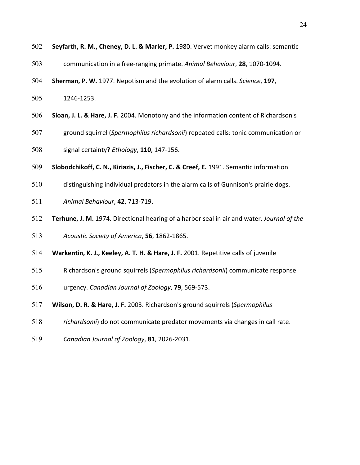- 502 **Seyfarth, R. M., Cheney, D. L. & Marler, P.** 1980. Vervet monkey alarm calls: semantic
- 503 communication in a free-ranging primate. Animal Behaviour, 28, 1070-1094.
- 504 **Sherman, P. W.** 1977. Nepotism and the evolution of alarm calls. *Science*, 197,
- 505 1246-1253.
- 506 **Sloan, J. L. & Hare, J. F.** 2004. Monotony and the information content of Richardson's
- 507 ground squirrel (*Spermophilus richardsonii*) repeated calls: tonic communication or
- 508 signal certainty? *Ethology*, **110**, 147-156.
- 509 **Slobodchikoff, C. N., Kiriazis, J., Fischer, C. & Creef, E.** 1991. Semantic information
- 510 distinguishing individual predators in the alarm calls of Gunnison's prairie dogs.
- 511 **Animal Behaviour, 42, 713-719.**
- 512 **Terhune, J. M.** 1974. Directional hearing of a harbor seal in air and water. *Journal of the*
- 513 Acoustic Society of America, **56**, 1862-1865.
- 514 **Warkentin, K. J., Keeley, A. T. H. & Hare, J. F.** 2001. Repetitive calls of juvenile
- 515 Richardson's ground squirrels (Spermophilus richardsonii) communicate response
- 516 urgency. *Canadian Journal of Zoology*, **79**, 569-573.
- 517 **Wilson, D. R. & Hare, J. F.** 2003. Richardson's ground squirrels (*Spermophilus*
- 518 *richardsonii*) do not communicate predator movements via changes in call rate.
- 519 *Canadian Journal of Zoology*, **81**, 2026-2031.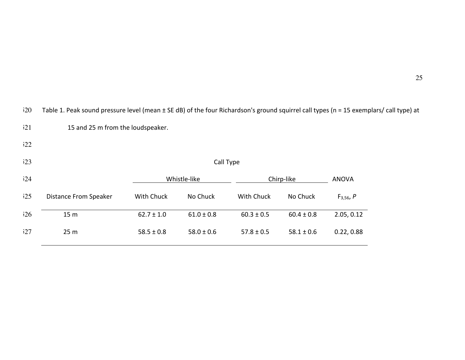|     |                                   |                |                |                |                |                | Table 1. Pear Sound pressure lever (mean 1 SE up) or the lour munaruson's ground squirrer can types (ii – 15 exemplars |  |  |  |  |  |  |  |
|-----|-----------------------------------|----------------|----------------|----------------|----------------|----------------|------------------------------------------------------------------------------------------------------------------------|--|--|--|--|--|--|--|
| 521 | 15 and 25 m from the loudspeaker. |                |                |                |                |                |                                                                                                                        |  |  |  |  |  |  |  |
| 522 |                                   |                |                |                |                |                |                                                                                                                        |  |  |  |  |  |  |  |
| 523 | Call Type                         |                |                |                |                |                |                                                                                                                        |  |  |  |  |  |  |  |
| 524 |                                   |                | Whistle-like   |                | Chirp-like     |                |                                                                                                                        |  |  |  |  |  |  |  |
| 525 | <b>Distance From Speaker</b>      | With Chuck     | No Chuck       | With Chuck     | No Chuck       | $F_{3,56}$ , P |                                                                                                                        |  |  |  |  |  |  |  |
| 526 | 15 <sub>m</sub>                   | $62.7 \pm 1.0$ | $61.0 \pm 0.8$ | $60.3 \pm 0.5$ | $60.4 \pm 0.8$ | 2.05, 0.12     |                                                                                                                        |  |  |  |  |  |  |  |
| 527 | 25 <sub>m</sub>                   | $58.5 \pm 0.8$ | $58.0 \pm 0.6$ | $57.8 \pm 0.5$ | $58.1 \pm 0.6$ | 0.22, 0.88     |                                                                                                                        |  |  |  |  |  |  |  |

520 Table 1. Peak sound pressure level (mean ± SE dB) of the four Richardson's ground squirrel call types (n = 15 exemplars/ call type) at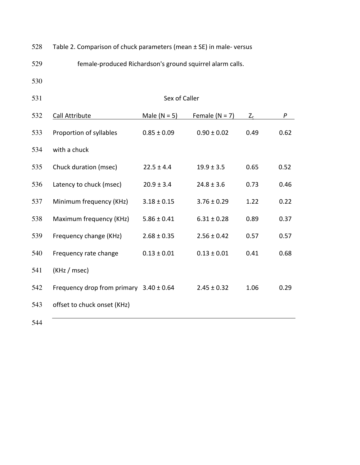| 528 |  |  | Table 2. Comparison of chuck parameters (mean $\pm$ SE) in male-versus |
|-----|--|--|------------------------------------------------------------------------|
|-----|--|--|------------------------------------------------------------------------|

529 female-produced Richardson's ground squirrel alarm calls.

530

531 Sex of Caller 532 Call Attribute Male (N = 5) Female (N = 7)  $Z_c$  *P* 533 Proportion of syllables  $0.85 \pm 0.09$   $0.90 \pm 0.02$  0.49 0.62 534 with a chuck 535 Chuck duration (msec) 22.5 ± 4.4 19.9 ± 3.5 0.65 0.52 536 Latency to chuck (msec)  $20.9 \pm 3.4$   $24.8 \pm 3.6$  0.73 0.46 537 Minimum frequency (KHz)  $3.18 \pm 0.15$   $3.76 \pm 0.29$  1.22 0.22 538 Maximum frequency (KHz) 5.86 ± 0.41 6.31 ± 0.28 0.89 0.37 539 Frequency change (KHz)  $2.68 \pm 0.35$   $2.56 \pm 0.42$  0.57 0.57 540 Frequency rate change  $0.13 \pm 0.01$   $0.13 \pm 0.01$  0.41 0.68  $541$  (KHz / msec) 542 Frequency drop from primary  $3.40 \pm 0.64$  2.45  $\pm$  0.32 1.06 0.29 543 offset to chuck onset (KHz)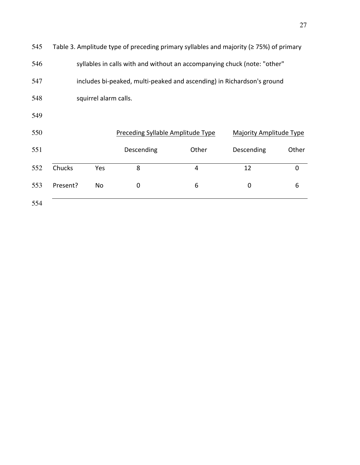| 545 | Table 3. Amplitude type of preceding primary syllables and majority ( $\geq$ 75%) of primary |           |                                   |       |                         |             |  |  |  |  |
|-----|----------------------------------------------------------------------------------------------|-----------|-----------------------------------|-------|-------------------------|-------------|--|--|--|--|
| 546 | syllables in calls with and without an accompanying chuck (note: "other"                     |           |                                   |       |                         |             |  |  |  |  |
| 547 | includes bi-peaked, multi-peaked and ascending) in Richardson's ground                       |           |                                   |       |                         |             |  |  |  |  |
| 548 | squirrel alarm calls.                                                                        |           |                                   |       |                         |             |  |  |  |  |
| 549 |                                                                                              |           |                                   |       |                         |             |  |  |  |  |
| 550 |                                                                                              |           | Preceding Syllable Amplitude Type |       | Majority Amplitude Type |             |  |  |  |  |
| 551 |                                                                                              |           | Descending                        | Other | Descending              | Other       |  |  |  |  |
| 552 | Chucks                                                                                       | Yes       | 8                                 | 4     | 12                      | $\mathbf 0$ |  |  |  |  |
| 553 | Present?                                                                                     | <b>No</b> | 0                                 | 6     | $\mathbf 0$             | 6           |  |  |  |  |
| 554 |                                                                                              |           |                                   |       |                         |             |  |  |  |  |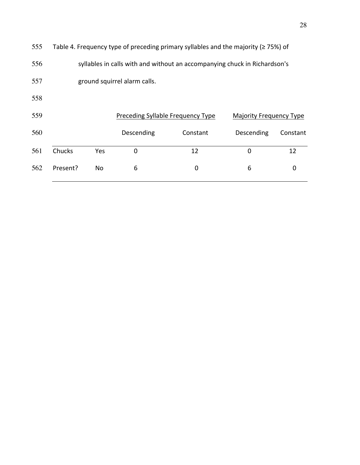| 555 | Table 4. Frequency type of preceding primary syllables and the majority ( $\geq$ 75%) of |     |                                   |          |                                |          |  |  |  |  |
|-----|------------------------------------------------------------------------------------------|-----|-----------------------------------|----------|--------------------------------|----------|--|--|--|--|
| 556 | syllables in calls with and without an accompanying chuck in Richardson's                |     |                                   |          |                                |          |  |  |  |  |
| 557 | ground squirrel alarm calls.                                                             |     |                                   |          |                                |          |  |  |  |  |
| 558 |                                                                                          |     |                                   |          |                                |          |  |  |  |  |
| 559 |                                                                                          |     | Preceding Syllable Frequency Type |          | <b>Majority Frequency Type</b> |          |  |  |  |  |
| 560 |                                                                                          |     | Descending                        | Constant | Descending                     | Constant |  |  |  |  |
| 561 | Chucks                                                                                   | Yes | 0                                 | 12       | $\Omega$                       | 12       |  |  |  |  |
| 562 | Present?                                                                                 | No  | 6                                 | 0        | 6                              | 0        |  |  |  |  |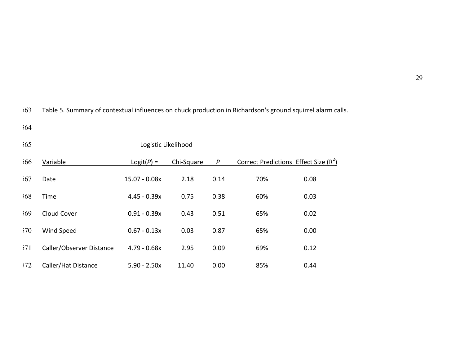563 Table 5. Summary of contextual influences on chuck production in Richardson's ground squirrel alarm calls.

| 565 |                          | Logistic Likelihood |            |                  |                                         |      |
|-----|--------------------------|---------------------|------------|------------------|-----------------------------------------|------|
| 566 | Variable                 | $Logit(P) =$        | Chi-Square | $\boldsymbol{P}$ | Correct Predictions Effect Size $(R^2)$ |      |
| 567 | Date                     | 15.07 - 0.08x       | 2.18       | 0.14             | 70%                                     | 0.08 |
| 568 | Time                     | $4.45 - 0.39x$      | 0.75       | 0.38             | 60%                                     | 0.03 |
| 569 | Cloud Cover              | $0.91 - 0.39x$      | 0.43       | 0.51             | 65%                                     | 0.02 |
| 570 | Wind Speed               | $0.67 - 0.13x$      | 0.03       | 0.87             | 65%                                     | 0.00 |
| 571 | Caller/Observer Distance | $4.79 - 0.68x$      | 2.95       | 0.09             | 69%                                     | 0.12 |
| 572 | Caller/Hat Distance      | $5.90 - 2.50x$      | 11.40      | 0.00             | 85%                                     | 0.44 |
|     |                          |                     |            |                  |                                         |      |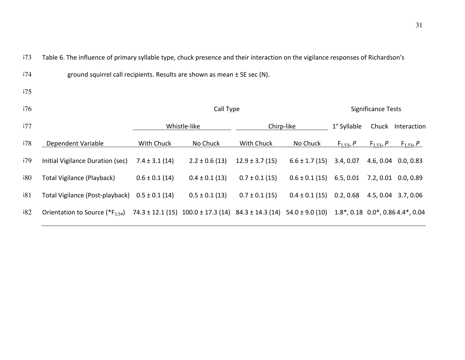573 Table 6. The influence of primary syllable type, chuck presence and their interaction on the vigilance responses of Richardson's

| 574 | ground squirrel call recipients. Results are shown as mean $\pm$ SE sec (N). |
|-----|------------------------------------------------------------------------------|
|-----|------------------------------------------------------------------------------|

|  | ٦<br>۰. |  |
|--|---------|--|
|  |         |  |

| 576 |                                             | Call Type            |                                                                |                    |                    |                            | Significance Tests |                                                                |  |
|-----|---------------------------------------------|----------------------|----------------------------------------------------------------|--------------------|--------------------|----------------------------|--------------------|----------------------------------------------------------------|--|
| 577 |                                             | Whistle-like         |                                                                | Chirp-like         |                    | 1° Syllable                | Chuck              | Interaction                                                    |  |
| 578 | Dependent Variable                          | With Chuck           | No Chuck                                                       | With Chuck         | No Chuck           | <u>F<sub>1,53</sub>, P</u> | $F_{1,53}P$        | <u>F<sub>1,53</sub>, P</u>                                     |  |
| 579 | Initial Vigilance Duration (sec)            | $7.4 \pm 3.1(14)$    | $2.2 \pm 0.6$ (13)                                             | $12.9 \pm 3.7(15)$ | $6.6 \pm 1.7(15)$  | 3.4, 0.07                  |                    | 4.6, 0.04 0.0, 0.83                                            |  |
| 580 | Total Vigilance (Playback)                  | $0.6 \pm 0.1$ (14)   | $0.4 \pm 0.1$ (13)                                             | $0.7 \pm 0.1$ (15) | $0.6 \pm 0.1$ (15) | 6.5, 0.01                  |                    | 7.2, 0.01 0.0, 0.89                                            |  |
| 581 | Total Vigilance (Post-playback)             | $0.5 \pm 0.1$ (14)   | $0.5 \pm 0.1$ (13)                                             | $0.7 \pm 0.1$ (15) | $0.4 \pm 0.1$ (15) | 0.2, 0.68                  |                    | 4.5, 0.04 3.7, 0.06                                            |  |
| 582 | Orientation to Source (*F <sub>1.54</sub> ) | $74.3 \pm 12.1$ (15) | $100.0 \pm 17.3$ (14) $84.3 \pm 14.3$ (14) $54.0 \pm 9.0$ (10) |                    |                    |                            |                    | $1.8^*$ , 0.18 0.0 <sup>*</sup> , 0.86 4.4 <sup>*</sup> , 0.04 |  |